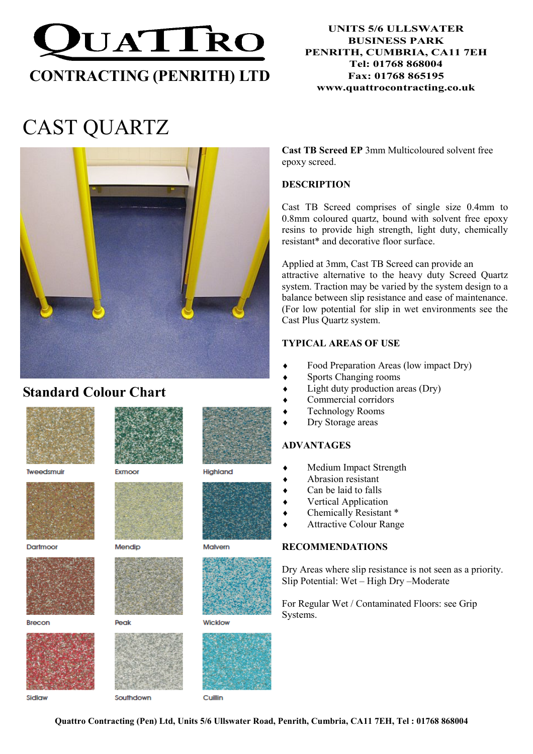

#### UNITS 5/6 ULLSWATER BUSINESS PARK PENRITH, CUMBRIA, CA11 7EH Tel: 01768 868004 Fax: 01768 865195 www.quattrocontracting.co.uk

# CAST QUARTZ



# Standard Colour Chart



Tweedsmuir



Dartmoor



**Brecon** 



Exmoor



Mendin



**Peak** 



Cuillin

Cast TB Screed EP 3mm Multicoloured solvent free epoxy screed.

#### **DESCRIPTION**

Cast TB Screed comprises of single size 0.4mm to 0.8mm coloured quartz, bound with solvent free epoxy resins to provide high strength, light duty, chemically resistant\* and decorative floor surface.

Applied at 3mm, Cast TB Screed can provide an attractive alternative to the heavy duty Screed Quartz system. Traction may be varied by the system design to a balance between slip resistance and ease of maintenance. (For low potential for slip in wet environments see the Cast Plus Quartz system.

#### TYPICAL AREAS OF USE

- Food Preparation Areas (low impact Dry)
- Sports Changing rooms
- $Light$  duty production areas (Dry)
- Commercial corridors
- ♦ Technology Rooms
- ♦ Dry Storage areas

#### ADVANTAGES

- Medium Impact Strength
- Abrasion resistant
- Can be laid to falls
- Vertical Application
- Chemically Resistant \*
- Attractive Colour Range

#### RECOMMENDATIONS

Dry Areas where slip resistance is not seen as a priority. Slip Potential: Wet – High Dry –Moderate

For Regular Wet / Contaminated Floors: see Grip Systems.

Sidlaw

Quattro Contracting (Pen) Ltd, Units 5/6 Ullswater Road, Penrith, Cumbria, CA11 7EH, Tel : 01768 868004





Highland



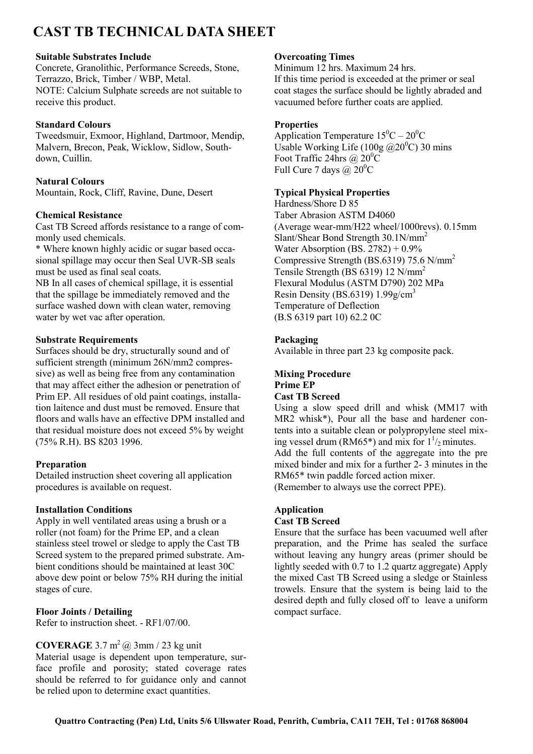# CAST TB TECHNICAL DATA SHEET

#### Suitable Substrates Include

Concrete, Granolithic, Performance Screeds, Stone, Terrazzo, Brick, Timber / WBP, Metal. NOTE: Calcium Sulphate screeds are not suitable to receive this product.

#### Standard Colours

Tweedsmuir, Exmoor, Highland, Dartmoor, Mendip, Malvern, Brecon, Peak, Wicklow, Sidlow, Southdown, Cuillin.

#### Natural Colours

Mountain, Rock, Cliff, Ravine, Dune, Desert

#### Chemical Resistance

Cast TB Screed affords resistance to a range of commonly used chemicals.

\* Where known highly acidic or sugar based occasional spillage may occur then Seal UVR-SB seals must be used as final seal coats.

NB In all cases of chemical spillage, it is essential that the spillage be immediately removed and the surface washed down with clean water, removing water by wet vac after operation.

#### Substrate Requirements

Surfaces should be dry, structurally sound and of sufficient strength (minimum 26N/mm2 compressive) as well as being free from any contamination that may affect either the adhesion or penetration of Prim EP. All residues of old paint coatings, installation laitence and dust must be removed. Ensure that floors and walls have an effective DPM installed and that residual moisture does not exceed 5% by weight (75% R.H). BS 8203 1996.

#### Preparation

Detailed instruction sheet covering all application procedures is available on request.

#### Installation Conditions

Apply in well ventilated areas using a brush or a roller (not foam) for the Prime EP, and a clean stainless steel trowel or sledge to apply the Cast TB Screed system to the prepared primed substrate. Ambient conditions should be maintained at least 30C above dew point or below 75% RH during the initial stages of cure.

#### Floor Joints / Detailing

Refer to instruction sheet. - RF1/07/00.

#### **COVERAGE** 3.7  $m^2$  @ 3mm / 23 kg unit

Material usage is dependent upon temperature, surface profile and porosity; stated coverage rates should be referred to for guidance only and cannot be relied upon to determine exact quantities.

#### Overcoating Times

Minimum 12 hrs. Maximum 24 hrs. If this time period is exceeded at the primer or seal coat stages the surface should be lightly abraded and vacuumed before further coats are applied.

#### **Properties**

Application Temperature  $15^0C - 20^0C$ Usable Working Life (100g  $\omega$ 20<sup>0</sup>C) 30 mins Foot Traffic 24hrs @  $20^0C$ Full Cure 7 days  $\omega$  20<sup>0</sup>C

#### Typical Physical Properties

Hardness/Shore D 85 Taber Abrasion ASTM D4060 (Average wear-mm/H22 wheel/1000revs). 0.15mm Slant/Shear Bond Strength 30.1N/mm<sup>2</sup> Water Absorption (BS.  $2782$ ) + 0.9% Compressive Strength (BS.6319) 75.6 N/mm<sup>2</sup> Tensile Strength (BS 6319) 12 N/mm<sup>2</sup> Flexural Modulus (ASTM D790) 202 MPa Resin Density (BS.6319)  $1.99$ g/cm<sup>3</sup> Temperature of Deflection (B.S 6319 part 10) 62.2 0C

#### Packaging

Available in three part 23 kg composite pack.

### Mixing Procedure

## Prime EP

### Cast TB Screed

Using a slow speed drill and whisk (MM17 with MR2 whisk\*), Pour all the base and hardener contents into a suitable clean or polypropylene steel mixing vessel drum (RM65\*) and mix for  $1\frac{1}{2}$  minutes. Add the full contents of the aggregate into the pre mixed binder and mix for a further 2- 3 minutes in the RM65\* twin paddle forced action mixer.

(Remember to always use the correct PPE).

### Application

#### Cast TB Screed

Ensure that the surface has been vacuumed well after preparation, and the Prime has sealed the surface without leaving any hungry areas (primer should be lightly seeded with 0.7 to 1.2 quartz aggregate) Apply the mixed Cast TB Screed using a sledge or Stainless trowels. Ensure that the system is being laid to the desired depth and fully closed off to leave a uniform compact surface.